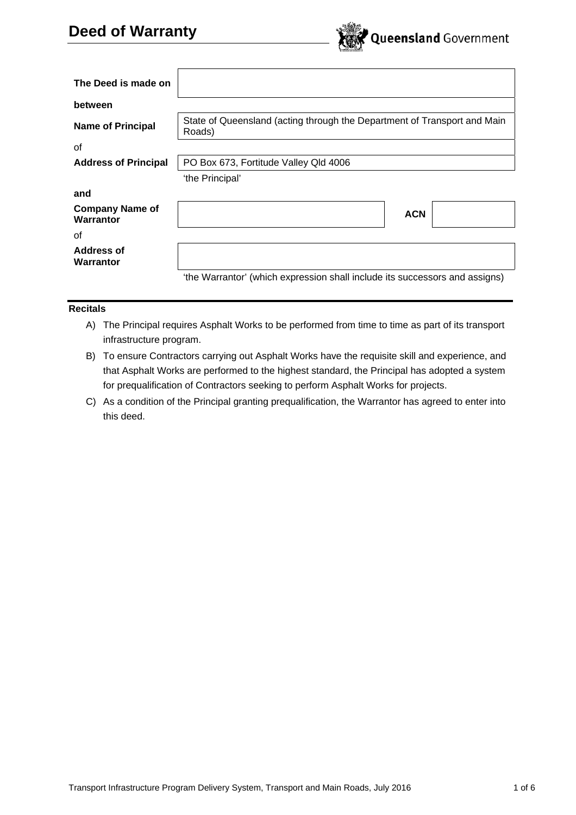

| The Deed is made on                 |                                                                                    |  |
|-------------------------------------|------------------------------------------------------------------------------------|--|
| between                             |                                                                                    |  |
| <b>Name of Principal</b>            | State of Queensland (acting through the Department of Transport and Main<br>Roads) |  |
| οf                                  |                                                                                    |  |
| <b>Address of Principal</b>         | PO Box 673, Fortitude Valley Qld 4006                                              |  |
|                                     | 'the Principal'                                                                    |  |
| and                                 |                                                                                    |  |
| <b>Company Name of</b><br>Warrantor | <b>ACN</b>                                                                         |  |
| οf                                  |                                                                                    |  |
| Address of<br>Warrantor             |                                                                                    |  |
|                                     | 'the Warrantor' (which expression shall include its successors and assigns)        |  |

## **Recitals**

- A) The Principal requires Asphalt Works to be performed from time to time as part of its transport infrastructure program.
- B) To ensure Contractors carrying out Asphalt Works have the requisite skill and experience, and that Asphalt Works are performed to the highest standard, the Principal has adopted a system for prequalification of Contractors seeking to perform Asphalt Works for projects.
- C) As a condition of the Principal granting prequalification, the Warrantor has agreed to enter into this deed.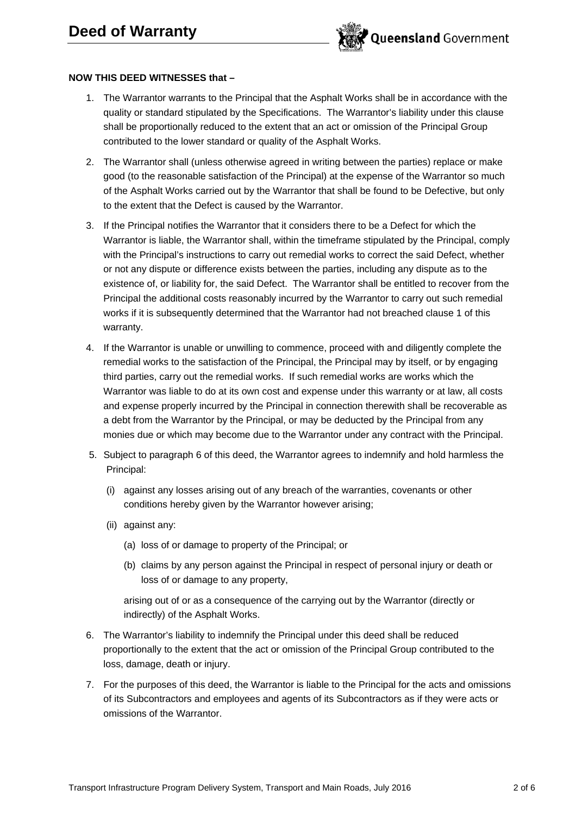

## **NOW THIS DEED WITNESSES that –**

- 1. The Warrantor warrants to the Principal that the Asphalt Works shall be in accordance with the quality or standard stipulated by the Specifications. The Warrantor's liability under this clause shall be proportionally reduced to the extent that an act or omission of the Principal Group contributed to the lower standard or quality of the Asphalt Works.
- 2. The Warrantor shall (unless otherwise agreed in writing between the parties) replace or make good (to the reasonable satisfaction of the Principal) at the expense of the Warrantor so much of the Asphalt Works carried out by the Warrantor that shall be found to be Defective, but only to the extent that the Defect is caused by the Warrantor.
- 3. If the Principal notifies the Warrantor that it considers there to be a Defect for which the Warrantor is liable, the Warrantor shall, within the timeframe stipulated by the Principal, comply with the Principal's instructions to carry out remedial works to correct the said Defect, whether or not any dispute or difference exists between the parties, including any dispute as to the existence of, or liability for, the said Defect. The Warrantor shall be entitled to recover from the Principal the additional costs reasonably incurred by the Warrantor to carry out such remedial works if it is subsequently determined that the Warrantor had not breached clause 1 of this warranty.
- 4. If the Warrantor is unable or unwilling to commence, proceed with and diligently complete the remedial works to the satisfaction of the Principal, the Principal may by itself, or by engaging third parties, carry out the remedial works. If such remedial works are works which the Warrantor was liable to do at its own cost and expense under this warranty or at law, all costs and expense properly incurred by the Principal in connection therewith shall be recoverable as a debt from the Warrantor by the Principal, or may be deducted by the Principal from any monies due or which may become due to the Warrantor under any contract with the Principal.
- 5. Subject to paragraph 6 of this deed, the Warrantor agrees to indemnify and hold harmless the Principal:
	- (i) against any losses arising out of any breach of the warranties, covenants or other conditions hereby given by the Warrantor however arising;
	- (ii) against any:
		- (a) loss of or damage to property of the Principal; or
		- (b) claims by any person against the Principal in respect of personal injury or death or loss of or damage to any property,

arising out of or as a consequence of the carrying out by the Warrantor (directly or indirectly) of the Asphalt Works.

- 6. The Warrantor's liability to indemnify the Principal under this deed shall be reduced proportionally to the extent that the act or omission of the Principal Group contributed to the loss, damage, death or injury.
- 7. For the purposes of this deed, the Warrantor is liable to the Principal for the acts and omissions of its Subcontractors and employees and agents of its Subcontractors as if they were acts or omissions of the Warrantor.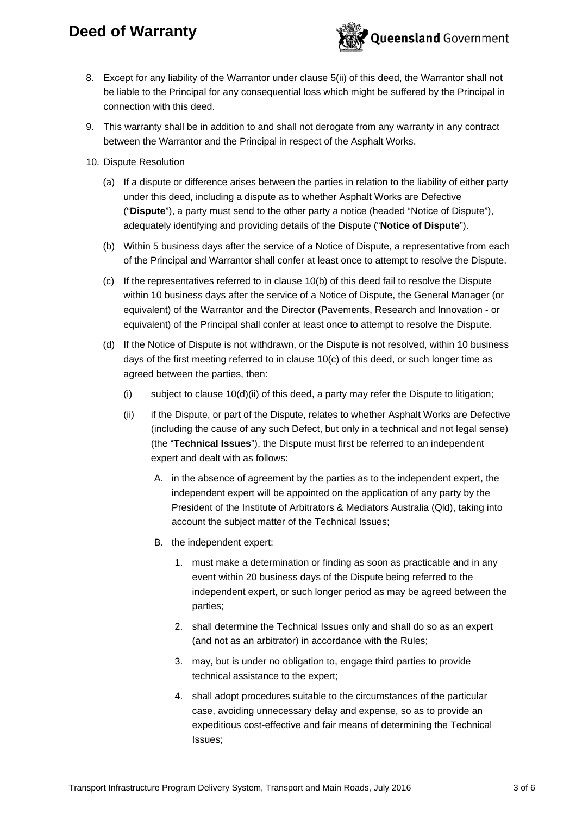

- 8. Except for any liability of the Warrantor under clause 5(ii) of this deed, the Warrantor shall not be liable to the Principal for any consequential loss which might be suffered by the Principal in connection with this deed.
- 9. This warranty shall be in addition to and shall not derogate from any warranty in any contract between the Warrantor and the Principal in respect of the Asphalt Works.
- 10. Dispute Resolution
	- (a) If a dispute or difference arises between the parties in relation to the liability of either party under this deed, including a dispute as to whether Asphalt Works are Defective ("**Dispute**"), a party must send to the other party a notice (headed "Notice of Dispute"), adequately identifying and providing details of the Dispute ("**Notice of Dispute**").
	- (b) Within 5 business days after the service of a Notice of Dispute, a representative from each of the Principal and Warrantor shall confer at least once to attempt to resolve the Dispute.
	- (c) If the representatives referred to in clause 10(b) of this deed fail to resolve the Dispute within 10 business days after the service of a Notice of Dispute, the General Manager (or equivalent) of the Warrantor and the Director (Pavements, Research and Innovation - or equivalent) of the Principal shall confer at least once to attempt to resolve the Dispute.
	- (d) If the Notice of Dispute is not withdrawn, or the Dispute is not resolved, within 10 business days of the first meeting referred to in clause 10(c) of this deed, or such longer time as agreed between the parties, then:
		- (i) subject to clause 10(d)(ii) of this deed, a party may refer the Dispute to litigation;
		- (ii) if the Dispute, or part of the Dispute, relates to whether Asphalt Works are Defective (including the cause of any such Defect, but only in a technical and not legal sense) (the "**Technical Issues**"), the Dispute must first be referred to an independent expert and dealt with as follows:
			- A. in the absence of agreement by the parties as to the independent expert, the independent expert will be appointed on the application of any party by the President of the Institute of Arbitrators & Mediators Australia (Qld), taking into account the subject matter of the Technical Issues;
			- B. the independent expert:
				- 1. must make a determination or finding as soon as practicable and in any event within 20 business days of the Dispute being referred to the independent expert, or such longer period as may be agreed between the parties;
				- 2. shall determine the Technical Issues only and shall do so as an expert (and not as an arbitrator) in accordance with the Rules;
				- 3. may, but is under no obligation to, engage third parties to provide technical assistance to the expert;
				- 4. shall adopt procedures suitable to the circumstances of the particular case, avoiding unnecessary delay and expense, so as to provide an expeditious cost-effective and fair means of determining the Technical Issues;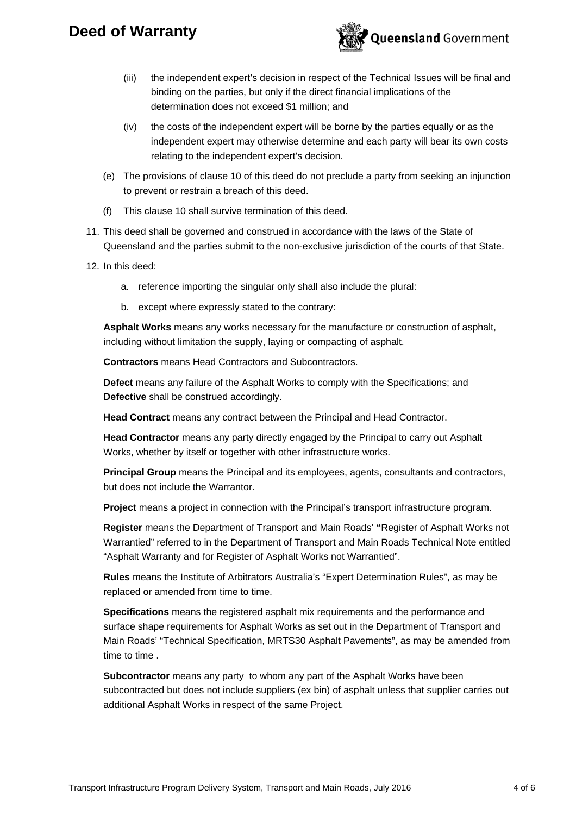

- (iii) the independent expert's decision in respect of the Technical Issues will be final and binding on the parties, but only if the direct financial implications of the determination does not exceed \$1 million; and
- (iv) the costs of the independent expert will be borne by the parties equally or as the independent expert may otherwise determine and each party will bear its own costs relating to the independent expert's decision.
- (e) The provisions of clause 10 of this deed do not preclude a party from seeking an injunction to prevent or restrain a breach of this deed.
- (f) This clause 10 shall survive termination of this deed.
- 11. This deed shall be governed and construed in accordance with the laws of the State of Queensland and the parties submit to the non-exclusive jurisdiction of the courts of that State.
- 12. In this deed:
	- a. reference importing the singular only shall also include the plural:
	- b. except where expressly stated to the contrary:

**Asphalt Works** means any works necessary for the manufacture or construction of asphalt, including without limitation the supply, laying or compacting of asphalt.

**Contractors** means Head Contractors and Subcontractors.

**Defect** means any failure of the Asphalt Works to comply with the Specifications; and **Defective** shall be construed accordingly.

**Head Contract** means any contract between the Principal and Head Contractor.

**Head Contractor** means any party directly engaged by the Principal to carry out Asphalt Works, whether by itself or together with other infrastructure works.

**Principal Group** means the Principal and its employees, agents, consultants and contractors, but does not include the Warrantor.

**Project** means a project in connection with the Principal's transport infrastructure program.

**Register** means the Department of Transport and Main Roads' **"**Register of Asphalt Works not Warrantied" referred to in the Department of Transport and Main Roads Technical Note entitled "Asphalt Warranty and for Register of Asphalt Works not Warrantied".

**Rules** means the Institute of Arbitrators Australia's "Expert Determination Rules", as may be replaced or amended from time to time.

**Specifications** means the registered asphalt mix requirements and the performance and surface shape requirements for Asphalt Works as set out in the Department of Transport and Main Roads' "Technical Specification, MRTS30 Asphalt Pavements", as may be amended from time to time .

**Subcontractor** means any party to whom any part of the Asphalt Works have been subcontracted but does not include suppliers (ex bin) of asphalt unless that supplier carries out additional Asphalt Works in respect of the same Project.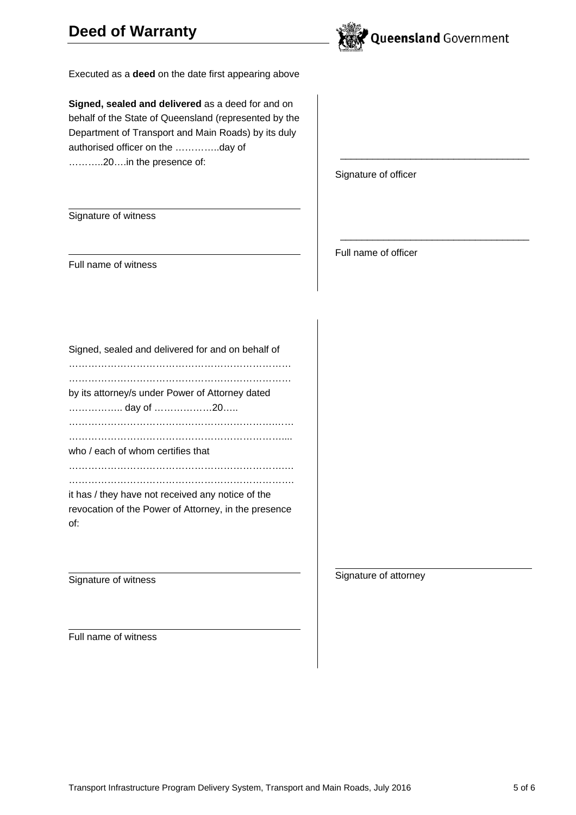## **Deed of Warranty**



 $\frac{1}{2}$  , and the set of the set of the set of the set of the set of the set of the set of the set of the set of the set of the set of the set of the set of the set of the set of the set of the set of the set of the set

 $\frac{1}{2}$  , and the set of the set of the set of the set of the set of the set of the set of the set of the set of the set of the set of the set of the set of the set of the set of the set of the set of the set of the set

Executed as a **deed** on the date first appearing above

**Signed, sealed and delivered** as a deed for and on behalf of the State of Queensland (represented by the Department of Transport and Main Roads) by its duly authorised officer on the …………..day of ………..20….in the presence of:

Signature of officer

Full name of officer

Signature of witness

Full name of witness

Signed, sealed and delivered for and on behalf of …………………………………………………………… …………………………………………………………… by its attorney/s under Power of Attorney dated …………….. day of ………………20….. ……………………………………………………….…… ………………………………………………………….... who / each of whom certifies that ………………………………………………………….… ……………………………………………………………. it has / they have not received any notice of the revocation of the Power of Attorney, in the presence of:

Signature of witness

Signature of attorney

Full name of witness